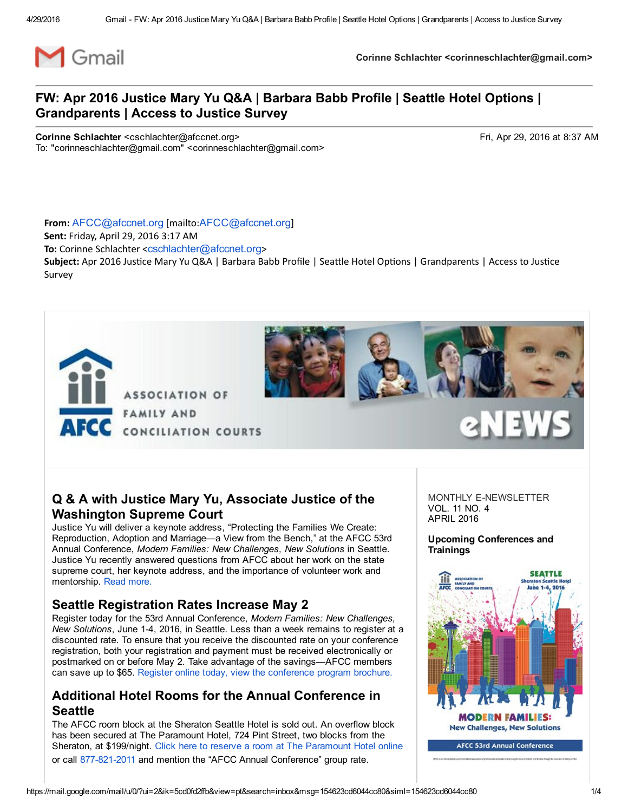

### Q & A with Justice Mary Yu, Associate Justice of the Washington Supreme Court

Justice Yu will deliver a keynote address, "Protecting the Families We Create: Reproduction, Adoption and Marriage—a View from the Bench," at the AFCC 53rd Annual Conference, *Modern Families: New Challenges, New Solutions* in Seattle. Justice Yu recently answered questions from AFCC about her work on the state supreme court, her keynote address, and the importance of volunteer work and mentorship. Read [more.](http://afcc.networkats.com/members_online/utilities/emailct.asp?0ab6649c80145de2f2faad49acab29cda1f6ce911f41dd5233e0a55d05a5f19fa5e915f8ad48dd60)

## Seattle Registration Rates Increase May 2

Register today for the 53rd Annual Conference, *Modern Families: New Challenges, New Solutions*, June 14, 2016, in Seattle. Less than a week remains to register at a discounted rate. To ensure that you receive the discounted rate on your conference registration, both your registration and payment must be received electronically or postmarked on or before May 2. Take advantage of the savings—AFCC members can save up to \$65. Register online today, view the [conference](http://afcc.networkats.com/members_online/utilities/emailct.asp?acb86088ccb96d8978347061efc81c258c232d8a1f41dd5233e0a55d05a5f19fa5e915f8ad48dd60) program brochure.

#### Additional Hotel Rooms for the Annual Conference in **Seattle**

The AFCC room block at the Sheraton Seattle Hotel is sold out. An overflow block has been secured at The Paramount Hotel, 724 Pint Street, two blocks from the Sheraton, at \$199/night. Click here to reserve a room at The [Paramount](http://afcc.networkats.com/members_online/utilities/emailct.asp?151debe5c776b771fe6868fb173398053abcd28f1f41dd5233e0a55d05a5f19fa5e915f8ad48dd60) Hotel online

or call 877-821-2011 and mention the "AFCC Annual Conference" group rate.

MONTHLY F-NEWSLETTER VOL. 11 NO. 4 APRIL 2016

Upcoming Conferences and **Trainings** 

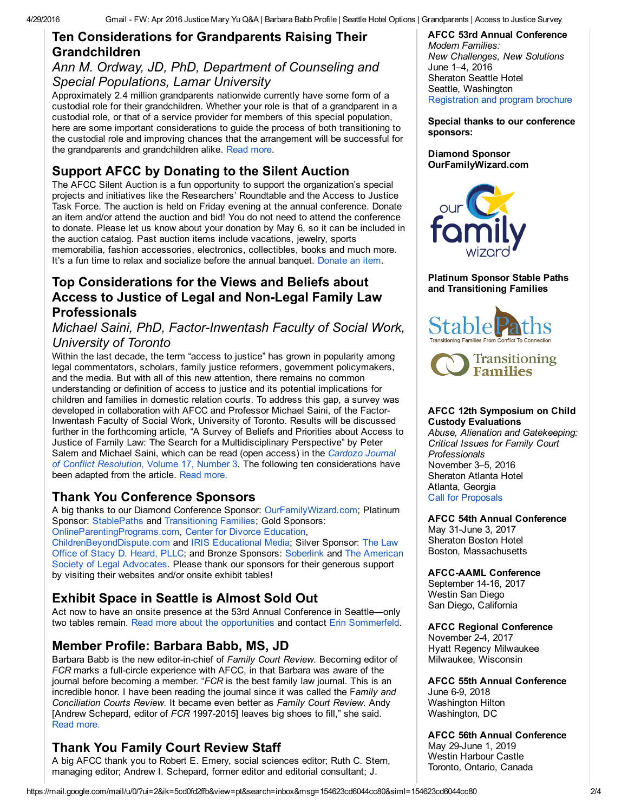### Ten Considerations for Grandparents Raising Their Grandchildren

#### *Ann M. Ordway, JD, PhD, Department of Counseling and Special Populations, Lamar University*

Approximately 2.4 million grandparents nationwide currently have some form of a custodial role for their grandchildren. Whether your role is that of a grandparent in a custodial role, or that of a service provider for members of this special population, here are some important considerations to guide the process of both transitioning to the custodial role and improving chances that the arrangement will be successful for the grandparents and grandchildren alike. [Read](http://afcc.networkats.com/members_online/utilities/emailct.asp?25caaae223ead1740fc6a917b48451886989506b1f41dd5233e0a55d05a5f19fa5e915f8ad48dd60) more.

# Support AFCC by Donating to the Silent Auction

The AFCC Silent Auction is a fun opportunity to support the organization's special projects and initiatives like the Researchers' Roundtable and the Access to Justice Task Force. The auction is held on Friday evening at the annual conference. Donate an item and/or attend the auction and bid! You do not need to attend the conference to donate. Please let us know about your donation by May 6, so it can be included in the auction catalog. Past auction items include vacations, jewelry, sports memorabilia, fashion accessories, electronics, collectibles, books and much more. It's a fun time to relax and socialize before the annual banquet. [Donate](http://afcc.networkats.com/members_online/utilities/emailct.asp?066a7a7a383975cffeb85bdebcb7932a59c799d81f41dd5233e0a55d05a5f19fa5e915f8ad48dd60) an item.

## Top Considerations for the Views and Beliefs about Access to Justice of Legal and Non-Legal Family Law Professionals

#### *Michael Saini, PhD, Factor-Inwentash Faculty of Social Work, University of Toronto*

Within the last decade, the term "access to justice" has grown in popularity among legal commentators, scholars, family justice reformers, government policymakers, and the media. But with all of this new attention, there remains no common understanding or definition of access to justice and its potential implications for children and families in domestic relation courts. To address this gap, a survey was developed in collaboration with AFCC and Professor Michael Saini, of the Factor-Inwentash Faculty of Social Work, University of Toronto. Results will be discussed further in the forthcoming article, "A Survey of Beliefs and Priorities about Access to Justice of Family Law: The Search for a Multidisciplinary Perspective" by Peter Salem and Michael Saini, which can be read (open access) in the *Cardozo Journal of Conflict Resolution*, Volume 17, Number 3. The following ten [considerations](http://afcc.networkats.com/members_online/utilities/emailct.asp?0c0a096a3004300f22a1736658eb242746f7772f1f41dd5233e0a55d05a5f19fa5e915f8ad48dd60) have been adapted from the article. Read [more.](http://afcc.networkats.com/members_online/utilities/emailct.asp?01df504ba1d5ef6da7cfb157ad2d0448b175fe0f1f41dd5233e0a55d05a5f19fa5e915f8ad48dd60)

# Thank You Conference Sponsors

A big thanks to our Diamond Conference Sponsor: [OurFamilyWizard.com;](http://afcc.networkats.com/members_online/utilities/emailct.asp?f38ff9844eb881833d155ad76855056ef7cdf3ff1f41dd5233e0a55d05a5f19fa5e915f8ad48dd60) Platinum Sponsor: [StablePaths](http://afcc.networkats.com/members_online/utilities/emailct.asp?aab207fddacf21780c5cd827b5d69e43b6d1ef4a1f41dd5233e0a55d05a5f19fa5e915f8ad48dd60) and [Transitioning](http://afcc.networkats.com/members_online/utilities/emailct.asp?db4fcc53c9257a9de0b39fc20fda4e9eab6716341f41dd5233e0a55d05a5f19fa5e915f8ad48dd60) Families; Gold Sponsors:

[OnlineParentingPrograms.com,](http://afcc.networkats.com/members_online/utilities/emailct.asp?4b5774abcc4616b60b3dc65f4141ed23f34872851f41dd5233e0a55d05a5f19fa5e915f8ad48dd60) Center for Divorce [Education,](http://afcc.networkats.com/members_online/utilities/emailct.asp?0b03fc1a25448e9e113bd76630fa5a80bad427371f41dd5233e0a55d05a5f19fa5e915f8ad48dd60) [ChildrenBeyondDispute.com](http://afcc.networkats.com/members_online/utilities/emailct.asp?481e3ad29bc7021c1827a68cf216fb5dd4f487161f41dd5233e0a55d05a5f19fa5e915f8ad48dd60) and IRIS [Educational](http://afcc.networkats.com/members_online/utilities/emailct.asp?55576b9e910daca1ae4cd9ae5bdd03cbc4f2590c1f41dd5233e0a55d05a5f19fa5e915f8ad48dd60) Media; Silver Sponsor: The Law Office of Stacy D. Heard, PLLC; and Bronze Sponsors: [Soberlink](http://afcc.networkats.com/members_online/utilities/emailct.asp?3b139c1e533796b0cde71ac40df53cad02457a4d1f41dd5233e0a55d05a5f19fa5e915f8ad48dd60) and The American Society of Legal [Advocates.](http://afcc.networkats.com/members_online/utilities/emailct.asp?9a5165a87bba11901b9920819b4637060e32bdc91f41dd5233e0a55d05a5f19fa5e915f8ad48dd60) Please thank our sponsors for their generous support by visiting their websites and/or onsite exhibit tables!

# Exhibit Space in Seattle is Almost Sold Out

Act now to have an onsite presence at the 53rd Annual Conference in Seattle—only two tables remain. Read more about the [opportunities](http://afcc.networkats.com/members_online/utilities/emailct.asp?83ce41f9e79b46866ffb5830ba75a7e81e215e171f41dd5233e0a55d05a5f19fa5e915f8ad48dd60) and contact Erin [Sommerfeld](mailto:esommerfeld@afccnet.org).

# Member Profile: Barbara Babb, MS, JD

Barbara Babb is the new editor-in-chief of *Family Court Review*. Becoming editor of *FCR* marks a full-circle experience with AFCC, in that Barbara was aware of the journal before becoming a member. "*FCR* is the best family law journal. This is an incredible honor. I have been reading the journal since it was called the F*amily and Conciliation Courts Review*. It became even better as *Family Court Review*. Andy [Andrew Schepard, editor of *FCR* 1997-2015] leaves big shoes to fill," she said. Read [more.](http://afcc.networkats.com/members_online/utilities/emailct.asp?2250a74db00d05a82b092064abb744fbbbfcb0ce1f41dd5233e0a55d05a5f19fa5e915f8ad48dd60)

# Thank You Family Court Review Staff

A big AFCC thank you to Robert E. Emery, social sciences editor; Ruth C. Stern, managing editor; Andrew I. Schepard, former editor and editorial consultant; J.

# AFCC 53rd Annual Conference

*Modern Families: New Challenges, New Solutions* June 1–4, 2016 Sheraton Seattle Hotel Seattle, Washington [Registration](http://afcc.networkats.com/members_online/utilities/emailct.asp?acb86088ccb96d8978347061efc81c258c232d8a1f41dd5233e0a55d05a5f19fa5e915f8ad48dd60) and program brochure

Special thanks to our conference sponsors:

Diamond Sponsor [OurFamilyWizard.com](http://afcc.networkats.com/members_online/utilities/emailct.asp?f38ff9844eb881833d155ad76855056ef7cdf3ff1f41dd5233e0a55d05a5f19fa5e915f8ad48dd60)



Platinum Sponsor Stable Paths and Transitioning Families





#### AFCC 12th Symposium on Child Custody Evaluations

*Abuse, Alienation and Gatekeeping: Critical Issues for Family Court Professionals* November 3–5, 2016 Sheraton Atlanta Hotel Atlanta, Georgia Call for [Proposals](http://afcc.networkats.com/members_online/utilities/emailct.asp?28a55643751da4d0950aaabc0219b27be124322d1f41dd5233e0a55d05a5f19fa5e915f8ad48dd60)

# AFCC 54th Annual Conference

May 31-June 3, 2017 Sheraton Boston Hotel Boston, Massachusetts

#### AFCCAAML Conference

September 14-16, 2017 Westin San Diego San Diego, California

## AFCC Regional Conference

November 24, 2017 Hyatt Regency Milwaukee Milwaukee, Wisconsin

AFCC 55th Annual Conference June 6-9, 2018 Washington Hilton Washington, DC

# AFCC 56th Annual Conference

May 29-June 1, 2019 Westin Harbour Castle Toronto, Ontario, Canada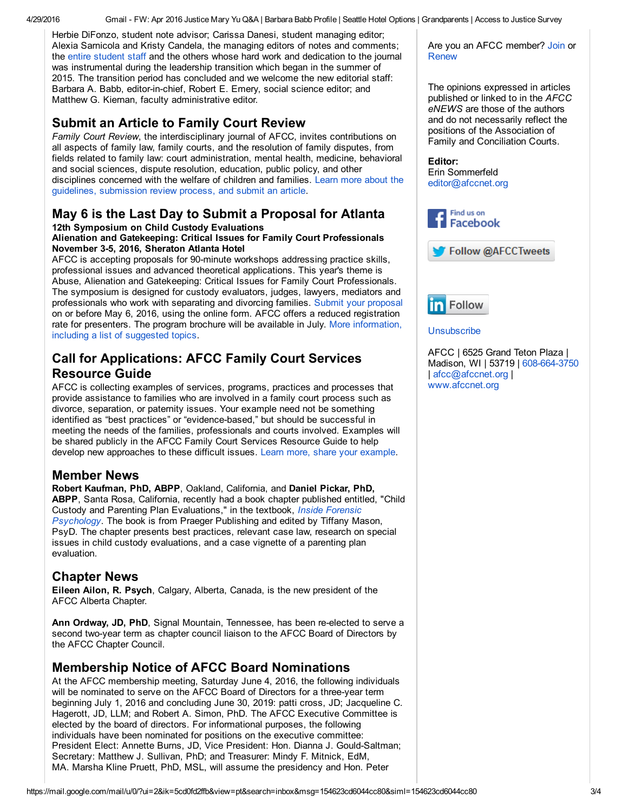Herbie DiFonzo, student note advisor; Carissa Danesi, student managing editor; Alexia Sarnicola and Kristy Candela, the managing editors of notes and comments; the entire [student](http://afcc.networkats.com/members_online/utilities/emailct.asp?2d03ada79e2dec29092b06822400a9b11ec5ecd21f41dd5233e0a55d05a5f19fa5e915f8ad48dd60) staff and the others whose hard work and dedication to the journal was instrumental during the leadership transition which began in the summer of 2015. The transition period has concluded and we welcome the new editorial staff: Barbara A. Babb, editor-in-chief, Robert E. Emery, social science editor; and Matthew G. Kiernan, faculty administrative editor.

## Submit an Article to Family Court Review

*Family Court Review*, the interdisciplinary journal of AFCC, invites contributions on all aspects of family law, family courts, and the resolution of family disputes, from fields related to family law: court administration, mental health, medicine, behavioral and social sciences, dispute resolution, education, public policy, and other disciplines concerned with the welfare of children and families. Learn more about the guidelines, [submission](http://afcc.networkats.com/members_online/utilities/emailct.asp?a35f86cca56a83c13cbec111ae8f9247c5161d2b1f41dd5233e0a55d05a5f19fa5e915f8ad48dd60) review process, and submit an article.

# May 6 is the Last Day to Submit a Proposal for Atlanta

#### 12th Symposium on Child Custody Evaluations Alienation and Gatekeeping: Critical Issues for Family Court Professionals November 3-5, 2016, Sheraton Atlanta Hotel

AFCC is accepting proposals for 90-minute workshops addressing practice skills, professional issues and advanced theoretical applications. This year's theme is Abuse, Alienation and Gatekeeping: Critical Issues for Family Court Professionals. The symposium is designed for custody evaluators, judges, lawyers, mediators and professionals who work with separating and divorcing families. Submit your [proposal](http://afcc.networkats.com/members_online/utilities/emailct.asp?28a55643751da4d0950aaabc0219b27be124322d1f41dd5233e0a55d05a5f19fa5e915f8ad48dd60) on or before May 6, 2016, using the online form. AFCC offers a reduced registration rate for presenters. The program brochure will be available in July. More [information,](http://afcc.networkats.com/members_online/utilities/emailct.asp?1dca678c07c2fb2f60c87269816a18b080b74bf31f41dd5233e0a55d05a5f19fa5e915f8ad48dd60) including a list of suggested topics.

## Call for Applications: AFCC Family Court Services Resource Guide

AFCC is collecting examples of services, programs, practices and processes that provide assistance to families who are involved in a family court process such as divorce, separation, or paternity issues. Your example need not be something identified as "best practices" or "evidence-based," but should be successful in meeting the needs of the families, professionals and courts involved. Examples will be shared publicly in the AFCC Family Court Services Resource Guide to help develop new approaches to these difficult issues. Learn more, share your [example.](http://afcc.networkats.com/members_online/utilities/emailct.asp?11ad1d33422df2825cb6e98c04b363ab948f2d831f41dd5233e0a55d05a5f19fa5e915f8ad48dd60)

#### Member News

Robert Kaufman, PhD, ABPP, Oakland, California, and Daniel Pickar, PhD, ABPP, Santa Rosa, California, recently had a book chapter published entitled, "Child Custody and Parenting Plan [Evaluations,"](http://afcc.networkats.com/members_online/utilities/emailct.asp?8dd9aa89c023e17d923c2efbc25c7566ed04edfc1f41dd5233e0a55d05a5f19fa5e915f8ad48dd60) in the textbook, *Inside Forensic Psychology*. The book is from Praeger Publishing and edited by Tiffany Mason, PsyD. The chapter presents best practices, relevant case law, research on special issues in child custody evaluations, and a case vignette of a parenting plan evaluation.

#### Chapter News

Eileen Ailon, R. Psych, Calgary, Alberta, Canada, is the new president of the AFCC Alberta Chapter.

Ann Ordway, JD, PhD, Signal Mountain, Tennessee, has been re-elected to serve a second two-year term as chapter council liaison to the AFCC Board of Directors by the AFCC Chapter Council.

## Membership Notice of AFCC Board Nominations

At the AFCC membership meeting, Saturday June 4, 2016, the following individuals will be nominated to serve on the AFCC Board of Directors for a three-year term beginning July 1, 2016 and concluding June 30, 2019: patti cross, JD; Jacqueline C. Hagerott, JD, LLM; and Robert A. Simon, PhD. The AFCC Executive Committee is elected by the board of directors. For informational purposes, the following individuals have been nominated for positions on the executive committee: President Elect: Annette Burns, JD, Vice President: Hon. Dianna J. Gould-Saltman; Secretary: Matthew J. Sullivan, PhD; and Treasurer: Mindy F. Mitnick, EdM, MA. Marsha Kline Pruett, PhD, MSL, will assume the presidency and Hon. Peter

Are you an AFCC member? [Join](http://afcc.networkats.com/members_online/utilities/emailct.asp?1564752a7f4b250bf80dc55446cd64439bc6d8ed1f41dd5233e0a55d05a5f19fa5e915f8ad48dd60) or [Renew](http://afcc.networkats.com/members_online/utilities/emailct.asp?cf4452b87aebb916821614ff393b72c1642d4ec21f41dd5233e0a55d05a5f19fa5e915f8ad48dd60)

The opinions expressed in articles published or linked to in the *AFCC eNEWS* are those of the authors and do not necessarily reflect the positions of the Association of Family and Conciliation Courts.

#### Editor:

Erin Sommerfeld [editor@afccnet.org](mailto:editor@afccnet.org)







#### **[Unsubscribe](mailto:afcc@afccnet.org%20?subject=Unsubscribe)**

AFCC | 6525 Grand Teton Plaza | Madison, WI | 53719 | 608-664-3750 | [afcc@afccnet.org](mailto:afcc@afccnet.org) | [www.afccnet.org](http://afcc.networkats.com/members_online/utilities/emailct.asp?96a24ab0abbb2e0f443b08ef4716429cef9571461f41dd5233e0a55d05a5f19fa5e915f8ad48dd60)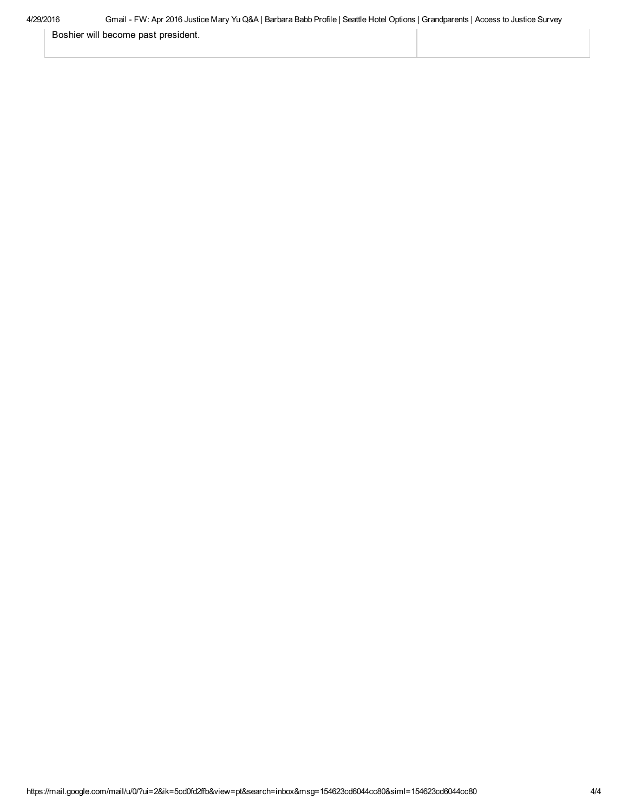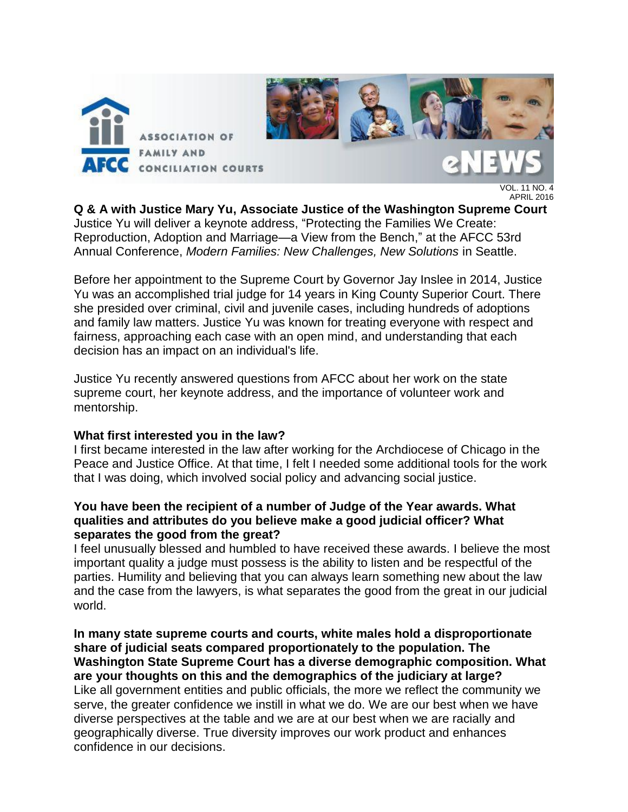

VOL. 11 NO. 4 APRIL 2016

**Q & A with Justice Mary Yu, Associate Justice of the Washington Supreme Court**  Justice Yu will deliver a keynote address, "Protecting the Families We Create: Reproduction, Adoption and Marriage—a View from the Bench," at the AFCC 53rd Annual Conference, *Modern Families: New Challenges, New Solutions* in Seattle.

Before her appointment to the Supreme Court by Governor Jay Inslee in 2014, Justice Yu was an accomplished trial judge for 14 years in King County Superior Court. There she presided over criminal, civil and juvenile cases, including hundreds of adoptions and family law matters. Justice Yu was known for treating everyone with respect and fairness, approaching each case with an open mind, and understanding that each decision has an impact on an individual's life.

Justice Yu recently answered questions from AFCC about her work on the state supreme court, her keynote address, and the importance of volunteer work and mentorship.

#### **What first interested you in the law?**

I first became interested in the law after working for the Archdiocese of Chicago in the Peace and Justice Office. At that time, I felt I needed some additional tools for the work that I was doing, which involved social policy and advancing social justice.

#### **You have been the recipient of a number of Judge of the Year awards. What qualities and attributes do you believe make a good judicial officer? What separates the good from the great?**

I feel unusually blessed and humbled to have received these awards. I believe the most important quality a judge must possess is the ability to listen and be respectful of the parties. Humility and believing that you can always learn something new about the law and the case from the lawyers, is what separates the good from the great in our judicial world.

**In many state supreme courts and courts, white males hold a disproportionate share of judicial seats compared proportionately to the population. The Washington State Supreme Court has a diverse demographic composition. What are your thoughts on this and the demographics of the judiciary at large?** Like all government entities and public officials, the more we reflect the community we serve, the greater confidence we instill in what we do. We are our best when we have diverse perspectives at the table and we are at our best when we are racially and geographically diverse. True diversity improves our work product and enhances confidence in our decisions.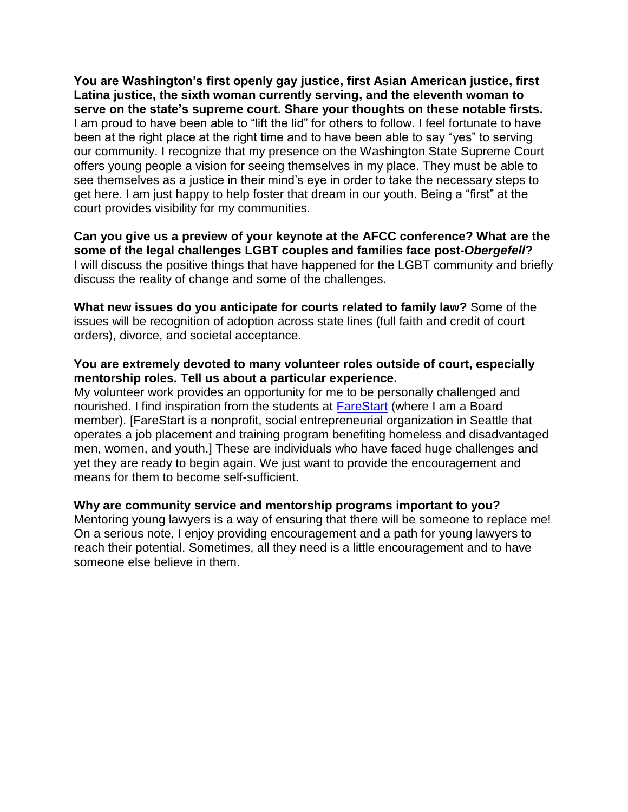**You are Washington's first openly gay justice, first Asian American justice, first Latina justice, the sixth woman currently serving, and the eleventh woman to serve on the state's supreme court. Share your thoughts on these notable firsts.**  I am proud to have been able to "lift the lid" for others to follow. I feel fortunate to have been at the right place at the right time and to have been able to say "yes" to serving our community. I recognize that my presence on the Washington State Supreme Court offers young people a vision for seeing themselves in my place. They must be able to see themselves as a justice in their mind's eye in order to take the necessary steps to get here. I am just happy to help foster that dream in our youth. Being a "first" at the court provides visibility for my communities.

**Can you give us a preview of your keynote at the AFCC conference? What are the some of the legal challenges LGBT couples and families face post-***Obergefell***?** I will discuss the positive things that have happened for the LGBT community and briefly discuss the reality of change and some of the challenges.

**What new issues do you anticipate for courts related to family law?** Some of the issues will be recognition of adoption across state lines (full faith and credit of court orders), divorce, and societal acceptance.

#### **You are extremely devoted to many volunteer roles outside of court, especially mentorship roles. Tell us about a particular experience.**

My volunteer work provides an opportunity for me to be personally challenged and nourished. I find inspiration from the students at [FareStart](http://www.farestart.org/) (where I am a Board member). [FareStart is a nonprofit, social entrepreneurial organization in Seattle that operates a job placement and training program benefiting homeless and disadvantaged men, women, and youth.] These are individuals who have faced huge challenges and yet they are ready to begin again. We just want to provide the encouragement and means for them to become self-sufficient.

**Why are community service and mentorship programs important to you?** Mentoring young lawyers is a way of ensuring that there will be someone to replace me! On a serious note, I enjoy providing encouragement and a path for young lawyers to reach their potential. Sometimes, all they need is a little encouragement and to have someone else believe in them.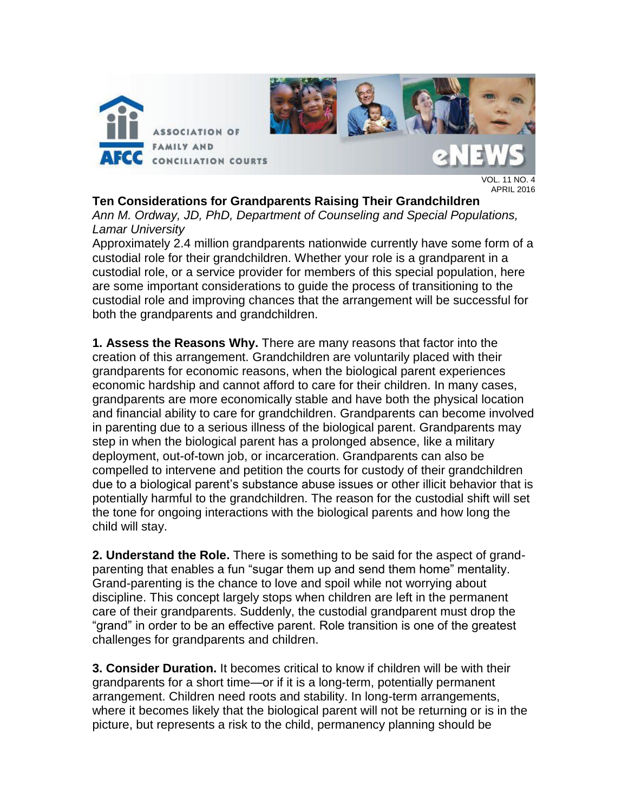

VOL. 11 NO. 4 APRIL 2016

**Ten Considerations for Grandparents Raising Their Grandchildren**

*Ann M. Ordway, JD, PhD, Department of Counseling and Special Populations, Lamar University* 

Approximately 2.4 million grandparents nationwide currently have some form of a custodial role for their grandchildren. Whether your role is a grandparent in a custodial role, or a service provider for members of this special population, here are some important considerations to guide the process of transitioning to the custodial role and improving chances that the arrangement will be successful for both the grandparents and grandchildren.

**1. Assess the Reasons Why.** There are many reasons that factor into the creation of this arrangement. Grandchildren are voluntarily placed with their grandparents for economic reasons, when the biological parent experiences economic hardship and cannot afford to care for their children. In many cases, grandparents are more economically stable and have both the physical location and financial ability to care for grandchildren. Grandparents can become involved in parenting due to a serious illness of the biological parent. Grandparents may step in when the biological parent has a prolonged absence, like a military deployment, out-of-town job, or incarceration. Grandparents can also be compelled to intervene and petition the courts for custody of their grandchildren due to a biological parent's substance abuse issues or other illicit behavior that is potentially harmful to the grandchildren. The reason for the custodial shift will set the tone for ongoing interactions with the biological parents and how long the child will stay.

**2. Understand the Role.** There is something to be said for the aspect of grandparenting that enables a fun "sugar them up and send them home" mentality. Grand-parenting is the chance to love and spoil while not worrying about discipline. This concept largely stops when children are left in the permanent care of their grandparents. Suddenly, the custodial grandparent must drop the "grand" in order to be an effective parent. Role transition is one of the greatest challenges for grandparents and children.

**3. Consider Duration.** It becomes critical to know if children will be with their grandparents for a short time—or if it is a long-term, potentially permanent arrangement. Children need roots and stability. In long-term arrangements, where it becomes likely that the biological parent will not be returning or is in the picture, but represents a risk to the child, permanency planning should be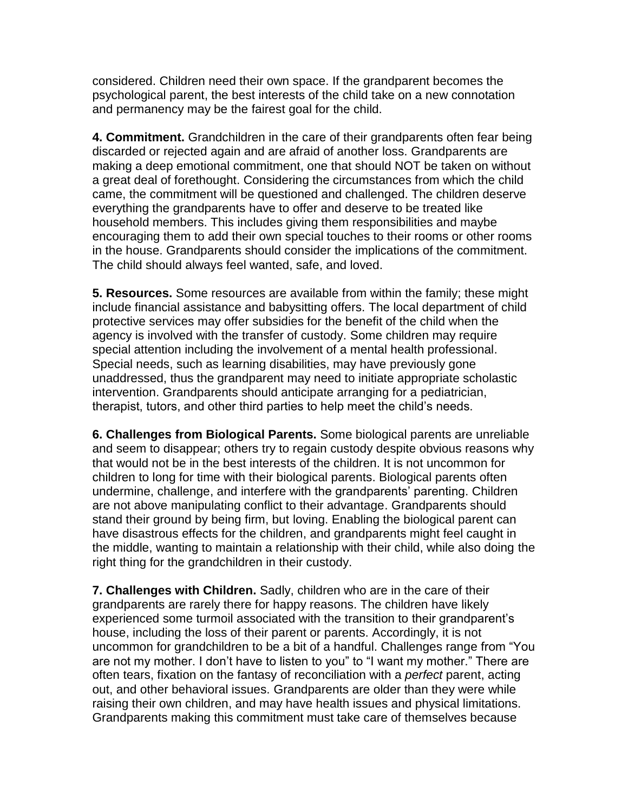considered. Children need their own space. If the grandparent becomes the psychological parent, the best interests of the child take on a new connotation and permanency may be the fairest goal for the child.

**4. Commitment.** Grandchildren in the care of their grandparents often fear being discarded or rejected again and are afraid of another loss. Grandparents are making a deep emotional commitment, one that should NOT be taken on without a great deal of forethought. Considering the circumstances from which the child came, the commitment will be questioned and challenged. The children deserve everything the grandparents have to offer and deserve to be treated like household members. This includes giving them responsibilities and maybe encouraging them to add their own special touches to their rooms or other rooms in the house. Grandparents should consider the implications of the commitment. The child should always feel wanted, safe, and loved.

**5. Resources.** Some resources are available from within the family; these might include financial assistance and babysitting offers. The local department of child protective services may offer subsidies for the benefit of the child when the agency is involved with the transfer of custody. Some children may require special attention including the involvement of a mental health professional. Special needs, such as learning disabilities, may have previously gone unaddressed, thus the grandparent may need to initiate appropriate scholastic intervention. Grandparents should anticipate arranging for a pediatrician, therapist, tutors, and other third parties to help meet the child's needs.

**6. Challenges from Biological Parents.** Some biological parents are unreliable and seem to disappear; others try to regain custody despite obvious reasons why that would not be in the best interests of the children. It is not uncommon for children to long for time with their biological parents. Biological parents often undermine, challenge, and interfere with the grandparents' parenting. Children are not above manipulating conflict to their advantage. Grandparents should stand their ground by being firm, but loving. Enabling the biological parent can have disastrous effects for the children, and grandparents might feel caught in the middle, wanting to maintain a relationship with their child, while also doing the right thing for the grandchildren in their custody.

**7. Challenges with Children.** Sadly, children who are in the care of their grandparents are rarely there for happy reasons. The children have likely experienced some turmoil associated with the transition to their grandparent's house, including the loss of their parent or parents. Accordingly, it is not uncommon for grandchildren to be a bit of a handful. Challenges range from "You are not my mother. I don't have to listen to you" to "I want my mother." There are often tears, fixation on the fantasy of reconciliation with a *perfect* parent, acting out, and other behavioral issues. Grandparents are older than they were while raising their own children, and may have health issues and physical limitations. Grandparents making this commitment must take care of themselves because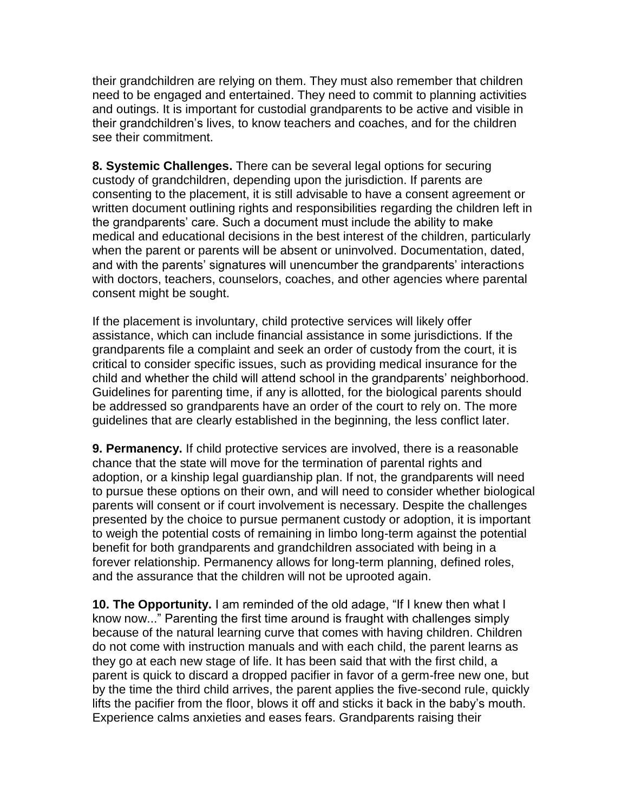their grandchildren are relying on them. They must also remember that children need to be engaged and entertained. They need to commit to planning activities and outings. It is important for custodial grandparents to be active and visible in their grandchildren's lives, to know teachers and coaches, and for the children see their commitment.

**8. Systemic Challenges.** There can be several legal options for securing custody of grandchildren, depending upon the jurisdiction. If parents are consenting to the placement, it is still advisable to have a consent agreement or written document outlining rights and responsibilities regarding the children left in the grandparents' care. Such a document must include the ability to make medical and educational decisions in the best interest of the children, particularly when the parent or parents will be absent or uninvolved. Documentation, dated, and with the parents' signatures will unencumber the grandparents' interactions with doctors, teachers, counselors, coaches, and other agencies where parental consent might be sought.

If the placement is involuntary, child protective services will likely offer assistance, which can include financial assistance in some jurisdictions. If the grandparents file a complaint and seek an order of custody from the court, it is critical to consider specific issues, such as providing medical insurance for the child and whether the child will attend school in the grandparents' neighborhood. Guidelines for parenting time, if any is allotted, for the biological parents should be addressed so grandparents have an order of the court to rely on. The more guidelines that are clearly established in the beginning, the less conflict later.

**9. Permanency.** If child protective services are involved, there is a reasonable chance that the state will move for the termination of parental rights and adoption, or a kinship legal guardianship plan. If not, the grandparents will need to pursue these options on their own, and will need to consider whether biological parents will consent or if court involvement is necessary. Despite the challenges presented by the choice to pursue permanent custody or adoption, it is important to weigh the potential costs of remaining in limbo long-term against the potential benefit for both grandparents and grandchildren associated with being in a forever relationship. Permanency allows for long-term planning, defined roles, and the assurance that the children will not be uprooted again.

**10. The Opportunity.** I am reminded of the old adage, "If I knew then what I know now..." Parenting the first time around is fraught with challenges simply because of the natural learning curve that comes with having children. Children do not come with instruction manuals and with each child, the parent learns as they go at each new stage of life. It has been said that with the first child, a parent is quick to discard a dropped pacifier in favor of a germ-free new one, but by the time the third child arrives, the parent applies the five-second rule, quickly lifts the pacifier from the floor, blows it off and sticks it back in the baby's mouth. Experience calms anxieties and eases fears. Grandparents raising their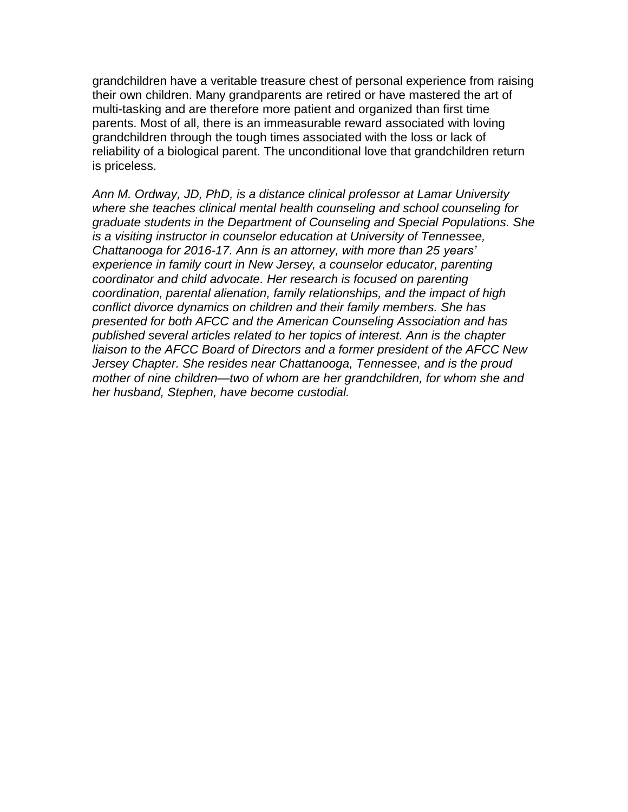grandchildren have a veritable treasure chest of personal experience from raising their own children. Many grandparents are retired or have mastered the art of multi-tasking and are therefore more patient and organized than first time parents. Most of all, there is an immeasurable reward associated with loving grandchildren through the tough times associated with the loss or lack of reliability of a biological parent. The unconditional love that grandchildren return is priceless.

*Ann M. Ordway, JD, PhD, is a distance clinical professor at Lamar University where she teaches clinical mental health counseling and school counseling for graduate students in the Department of Counseling and Special Populations. She is a visiting instructor in counselor education at University of Tennessee, Chattanooga for 2016-17. Ann is an attorney, with more than 25 years' experience in family court in New Jersey, a counselor educator, parenting coordinator and child advocate. Her research is focused on parenting coordination, parental alienation, family relationships, and the impact of high conflict divorce dynamics on children and their family members. She has presented for both AFCC and the American Counseling Association and has published several articles related to her topics of interest. Ann is the chapter liaison to the AFCC Board of Directors and a former president of the AFCC New Jersey Chapter. She resides near Chattanooga, Tennessee, and is the proud mother of nine children—two of whom are her grandchildren, for whom she and her husband, Stephen, have become custodial.*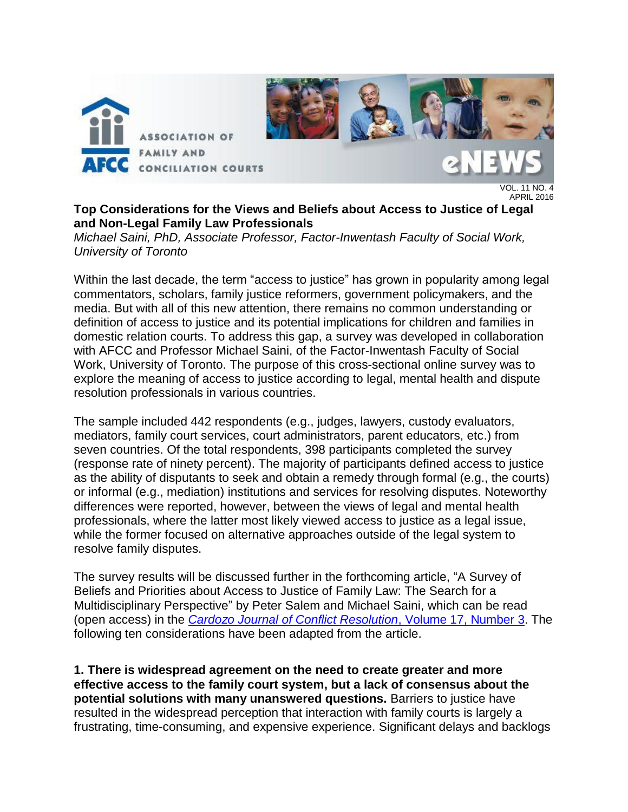

APRIL 2016

**Top Considerations for the Views and Beliefs about Access to Justice of Legal and Non-Legal Family Law Professionals** 

*Michael Saini, PhD, Associate Professor, Factor-Inwentash Faculty of Social Work, University of Toronto*

Within the last decade, the term "access to justice" has grown in popularity among legal commentators, scholars, family justice reformers, government policymakers, and the media. But with all of this new attention, there remains no common understanding or definition of access to justice and its potential implications for children and families in domestic relation courts. To address this gap, a survey was developed in collaboration with AFCC and Professor Michael Saini, of the Factor-Inwentash Faculty of Social Work, University of Toronto. The purpose of this cross-sectional online survey was to explore the meaning of access to justice according to legal, mental health and dispute resolution professionals in various countries.

The sample included 442 respondents (e.g., judges, lawyers, custody evaluators, mediators, family court services, court administrators, parent educators, etc.) from seven countries. Of the total respondents, 398 participants completed the survey (response rate of ninety percent). The majority of participants defined access to justice as the ability of disputants to seek and obtain a remedy through formal (e.g., the courts) or informal (e.g., mediation) institutions and services for resolving disputes. Noteworthy differences were reported, however, between the views of legal and mental health professionals, where the latter most likely viewed access to justice as a legal issue, while the former focused on alternative approaches outside of the legal system to resolve family disputes.

The survey results will be discussed further in the forthcoming article, "A Survey of Beliefs and Priorities about Access to Justice of Family Law: The Search for a Multidisciplinary Perspective" by Peter Salem and Michael Saini, which can be read (open access) in the *[Cardozo Journal of Conflict Resolution](http://cardozojcr.com/volume-17-3/)*, Volume 17, Number 3. The following ten considerations have been adapted from the article.

**1. There is widespread agreement on the need to create greater and more effective access to the family court system, but a lack of consensus about the potential solutions with many unanswered questions.** Barriers to justice have resulted in the widespread perception that interaction with family courts is largely a frustrating, time-consuming, and expensive experience. Significant delays and backlogs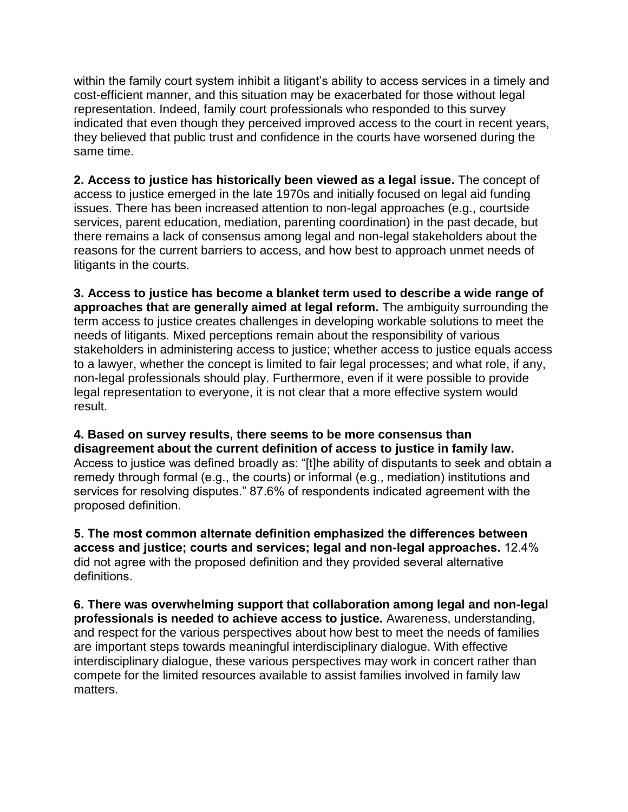within the family court system inhibit a litigant's ability to access services in a timely and cost-efficient manner, and this situation may be exacerbated for those without legal representation. Indeed, family court professionals who responded to this survey indicated that even though they perceived improved access to the court in recent years, they believed that public trust and confidence in the courts have worsened during the same time.

**2. Access to justice has historically been viewed as a legal issue.** The concept of access to justice emerged in the late 1970s and initially focused on legal aid funding issues. There has been increased attention to non-legal approaches (e.g., courtside services, parent education, mediation, parenting coordination) in the past decade, but there remains a lack of consensus among legal and non-legal stakeholders about the reasons for the current barriers to access, and how best to approach unmet needs of litigants in the courts.

**3. Access to justice has become a blanket term used to describe a wide range of approaches that are generally aimed at legal reform.** The ambiguity surrounding the term access to justice creates challenges in developing workable solutions to meet the needs of litigants. Mixed perceptions remain about the responsibility of various stakeholders in administering access to justice; whether access to justice equals access to a lawyer, whether the concept is limited to fair legal processes; and what role, if any, non-legal professionals should play. Furthermore, even if it were possible to provide legal representation to everyone, it is not clear that a more effective system would result.

#### **4. Based on survey results, there seems to be more consensus than disagreement about the current definition of access to justice in family law.**

Access to justice was defined broadly as: "[t]he ability of disputants to seek and obtain a remedy through formal (e.g., the courts) or informal (e.g., mediation) institutions and services for resolving disputes." 87.6% of respondents indicated agreement with the proposed definition.

**5. The most common alternate definition emphasized the differences between access and justice; courts and services; legal and non-legal approaches.** 12.4% did not agree with the proposed definition and they provided several alternative definitions.

**6. There was overwhelming support that collaboration among legal and non-legal professionals is needed to achieve access to justice.** Awareness, understanding, and respect for the various perspectives about how best to meet the needs of families are important steps towards meaningful interdisciplinary dialogue. With effective interdisciplinary dialogue, these various perspectives may work in concert rather than compete for the limited resources available to assist families involved in family law matters.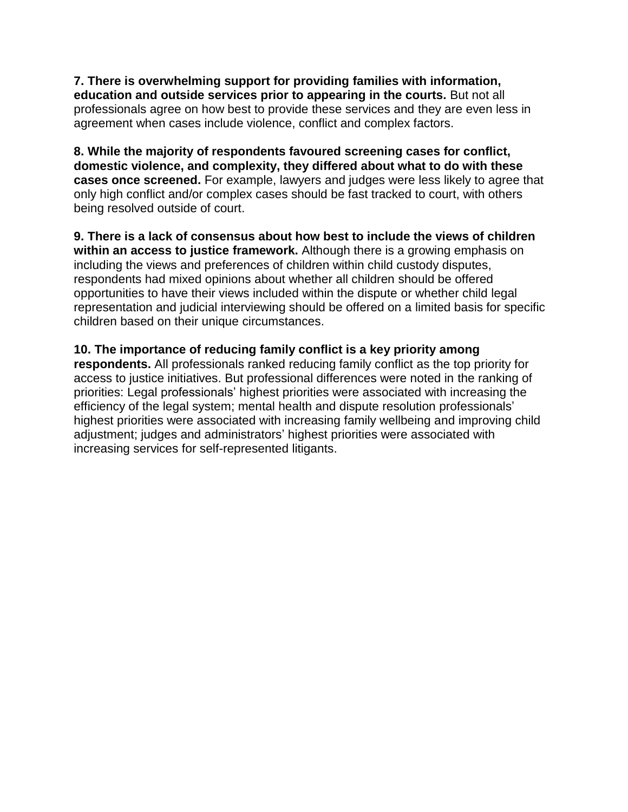**7. There is overwhelming support for providing families with information, education and outside services prior to appearing in the courts.** But not all professionals agree on how best to provide these services and they are even less in agreement when cases include violence, conflict and complex factors.

**8. While the majority of respondents favoured screening cases for conflict, domestic violence, and complexity, they differed about what to do with these cases once screened.** For example, lawyers and judges were less likely to agree that only high conflict and/or complex cases should be fast tracked to court, with others being resolved outside of court.

**9. There is a lack of consensus about how best to include the views of children within an access to justice framework.** Although there is a growing emphasis on including the views and preferences of children within child custody disputes, respondents had mixed opinions about whether all children should be offered opportunities to have their views included within the dispute or whether child legal representation and judicial interviewing should be offered on a limited basis for specific children based on their unique circumstances.

### **10. The importance of reducing family conflict is a key priority among**

**respondents.** All professionals ranked reducing family conflict as the top priority for access to justice initiatives. But professional differences were noted in the ranking of priorities: Legal professionals' highest priorities were associated with increasing the efficiency of the legal system; mental health and dispute resolution professionals' highest priorities were associated with increasing family wellbeing and improving child adjustment; judges and administrators' highest priorities were associated with increasing services for self-represented litigants.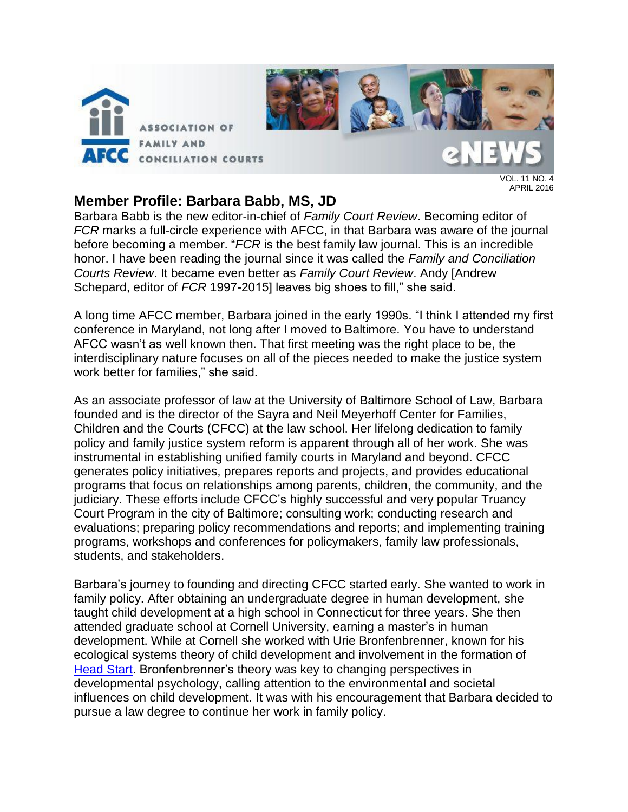

VOL. 11 NO. 4 APRIL 2016

### **Member Profile: Barbara Babb, MS, JD**

Barbara Babb is the new editor-in-chief of *Family Court Review*. Becoming editor of *FCR* marks a full-circle experience with AFCC, in that Barbara was aware of the journal before becoming a member. "*FCR* is the best family law journal. This is an incredible honor. I have been reading the journal since it was called the *Family and Conciliation Courts Review*. It became even better as *Family Court Review*. Andy [Andrew Schepard, editor of *FCR* 1997-2015] leaves big shoes to fill," she said.

A long time AFCC member, Barbara joined in the early 1990s. "I think I attended my first conference in Maryland, not long after I moved to Baltimore. You have to understand AFCC wasn't as well known then. That first meeting was the right place to be, the interdisciplinary nature focuses on all of the pieces needed to make the justice system work better for families," she said.

As an associate professor of law at the University of Baltimore School of Law, Barbara founded and is the director of the Sayra and Neil Meyerhoff Center for Families, Children and the Courts (CFCC) at the law school. Her lifelong dedication to family policy and family justice system reform is apparent through all of her work. She was instrumental in establishing unified family courts in Maryland and beyond. CFCC generates policy initiatives, prepares reports and projects, and provides educational programs that focus on relationships among parents, children, the community, and the judiciary. These efforts include CFCC's highly successful and very popular Truancy Court Program in the city of Baltimore; consulting work; conducting research and evaluations; preparing policy recommendations and reports; and implementing training programs, workshops and conferences for policymakers, family law professionals, students, and stakeholders.

Barbara's journey to founding and directing CFCC started early. She wanted to work in family policy. After obtaining an undergraduate degree in human development, she taught child development at a high school in Connecticut for three years. She then attended graduate school at Cornell University, earning a master's in human development. While at Cornell she worked with Urie Bronfenbrenner, known for his ecological systems theory of child development and involvement in the formation of [Head Start.](http://www.acf.hhs.gov/programs/ohs) Bronfenbrenner's theory was key to changing perspectives in developmental psychology, calling attention to the environmental and societal influences on child development. It was with his encouragement that Barbara decided to pursue a law degree to continue her work in family policy.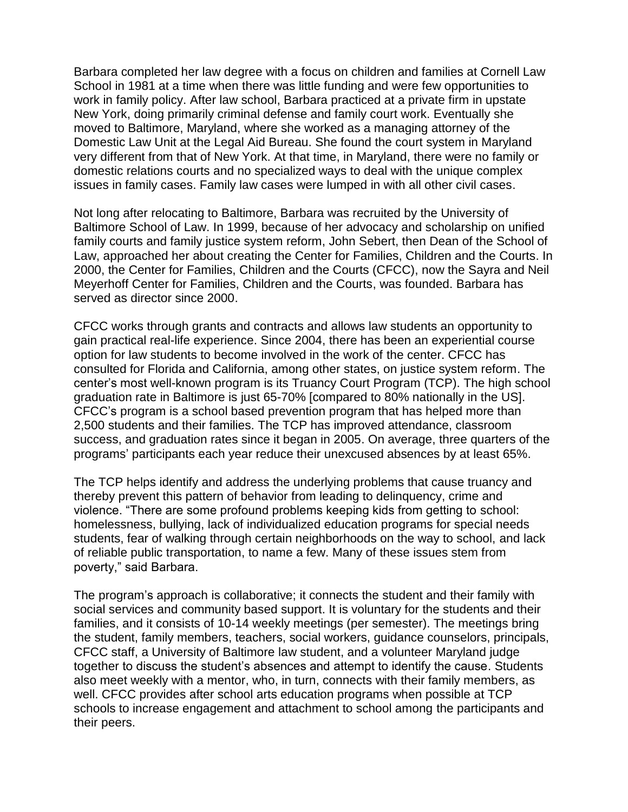Barbara completed her law degree with a focus on children and families at Cornell Law School in 1981 at a time when there was little funding and were few opportunities to work in family policy. After law school, Barbara practiced at a private firm in upstate New York, doing primarily criminal defense and family court work. Eventually she moved to Baltimore, Maryland, where she worked as a managing attorney of the Domestic Law Unit at the Legal Aid Bureau. She found the court system in Maryland very different from that of New York. At that time, in Maryland, there were no family or domestic relations courts and no specialized ways to deal with the unique complex issues in family cases. Family law cases were lumped in with all other civil cases.

Not long after relocating to Baltimore, Barbara was recruited by the University of Baltimore School of Law. In 1999, because of her advocacy and scholarship on unified family courts and family justice system reform, John Sebert, then Dean of the School of Law, approached her about creating the Center for Families, Children and the Courts. In 2000, the Center for Families, Children and the Courts (CFCC), now the Sayra and Neil Meyerhoff Center for Families, Children and the Courts, was founded. Barbara has served as director since 2000.

CFCC works through grants and contracts and allows law students an opportunity to gain practical real-life experience. Since 2004, there has been an experiential course option for law students to become involved in the work of the center. CFCC has consulted for Florida and California, among other states, on justice system reform. The center's most well-known program is its Truancy Court Program (TCP). The high school graduation rate in Baltimore is just 65-70% [compared to 80% nationally in the US]. CFCC's program is a school based prevention program that has helped more than 2,500 students and their families. The TCP has improved attendance, classroom success, and graduation rates since it began in 2005. On average, three quarters of the programs' participants each year reduce their unexcused absences by at least 65%.

The TCP helps identify and address the underlying problems that cause truancy and thereby prevent this pattern of behavior from leading to delinquency, crime and violence. "There are some profound problems keeping kids from getting to school: homelessness, bullying, lack of individualized education programs for special needs students, fear of walking through certain neighborhoods on the way to school, and lack of reliable public transportation, to name a few. Many of these issues stem from poverty," said Barbara.

The program's approach is collaborative; it connects the student and their family with social services and community based support. It is voluntary for the students and their families, and it consists of 10-14 weekly meetings (per semester). The meetings bring the student, family members, teachers, social workers, guidance counselors, principals, CFCC staff, a University of Baltimore law student, and a volunteer Maryland judge together to discuss the student's absences and attempt to identify the cause. Students also meet weekly with a mentor, who, in turn, connects with their family members, as well. CFCC provides after school arts education programs when possible at TCP schools to increase engagement and attachment to school among the participants and their peers.